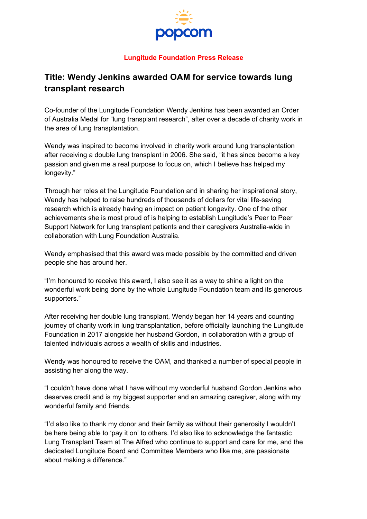

## **Lungitude Foundation Press Release**

## **Title: Wendy Jenkins awarded OAM for service towards lung transplant research**

Co-founder of the Lungitude Foundation Wendy Jenkins has been awarded an Order of Australia Medal for "lung transplant research", after over a decade of charity work in the area of lung transplantation.

Wendy was inspired to become involved in charity work around lung transplantation after receiving a double lung transplant in 2006. She said, "it has since become a key passion and given me a real purpose to focus on, which I believe has helped my longevity."

Through her roles at the Lungitude Foundation and in sharing her inspirational story, Wendy has helped to raise hundreds of thousands of dollars for vital life-saving research which is already having an impact on patient longevity. One of the other achievements she is most proud of is helping to establish Lungitude's Peer to Peer Support Network for lung transplant patients and their caregivers Australia-wide in collaboration with Lung Foundation Australia.

Wendy emphasised that this award was made possible by the committed and driven people she has around her.

"I'm honoured to receive this award, I also see it as a way to shine a light on the wonderful work being done by the whole Lungitude Foundation team and its generous supporters."

After receiving her double lung transplant, Wendy began her 14 years and counting journey of charity work in lung transplantation, before officially launching the Lungitude Foundation in 2017 alongside her husband Gordon, in collaboration with a group of talented individuals across a wealth of skills and industries.

Wendy was honoured to receive the OAM, and thanked a number of special people in assisting her along the way.

"I couldn't have done what I have without my wonderful husband Gordon Jenkins who deserves credit and is my biggest supporter and an amazing caregiver, along with my wonderful family and friends.

"I'd also like to thank my donor and their family as without their generosity I wouldn't be here being able to 'pay it on' to others. I'd also like to acknowledge the fantastic Lung Transplant Team at The Alfred who continue to support and care for me, and the dedicated Lungitude Board and Committee Members who like me, are passionate about making a difference."